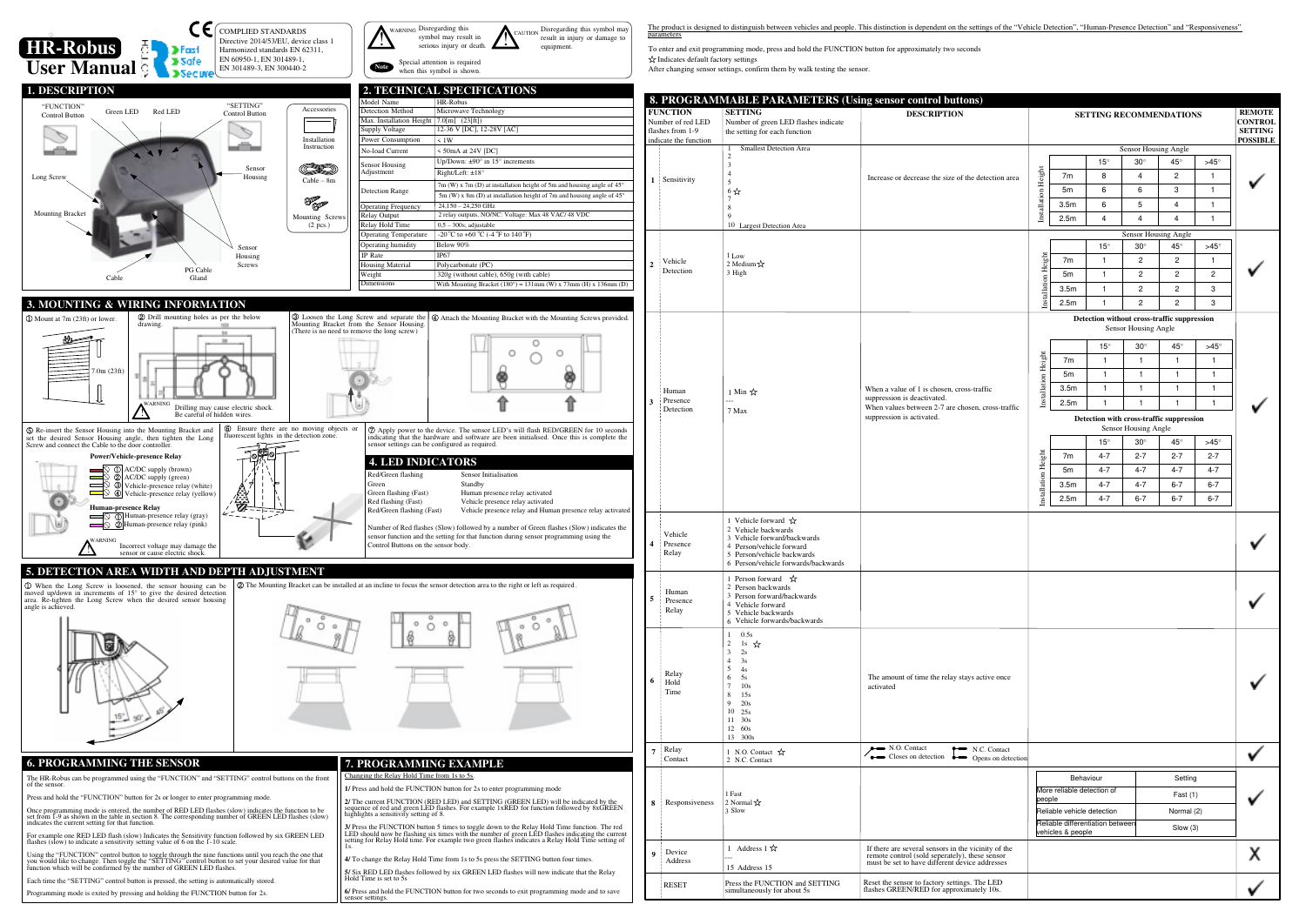|                                |                                                                  |                                  | <b>SETTING RECOMMENDATIONS</b>              |                                    |                   |                  | <b>REMOTE</b> |
|--------------------------------|------------------------------------------------------------------|----------------------------------|---------------------------------------------|------------------------------------|-------------------|------------------|---------------|
|                                |                                                                  | <b>CONTROL</b><br><b>SETTING</b> |                                             |                                    |                   |                  |               |
|                                |                                                                  | <b>POSSIBLE</b>                  |                                             |                                    |                   |                  |               |
|                                |                                                                  |                                  | $15^{\circ}$                                | Sensor Housing Angle<br>$30^\circ$ | 45°               | $>45^\circ$      |               |
| ection area                    |                                                                  | 7m                               | 8                                           | 4                                  | 2                 | 1                |               |
|                                |                                                                  | 5m                               | 6                                           | 6                                  | 3                 | 1                |               |
|                                | Installation Height                                              | 3.5 <sub>m</sub>                 | 6                                           | 5                                  | 4                 | 1                |               |
|                                |                                                                  | 2.5m                             | $\overline{4}$                              | 4                                  | $\overline{4}$    | 1                |               |
|                                | Sensor Housing Angle                                             |                                  |                                             |                                    |                   |                  |               |
|                                |                                                                  | 7m                               | $15^{\circ}$<br>1                           | $30^\circ$<br>$\overline{c}$       | $45^{\circ}$<br>2 | $>45^\circ$<br>1 |               |
|                                |                                                                  | 5m                               | 1                                           | $\mathbf{2}$                       | 2                 | 2                |               |
|                                | Installation Height                                              | 3.5 <sub>m</sub>                 | 1                                           | $\overline{c}$                     | 2                 | 3                |               |
|                                |                                                                  | 2.5m                             | 1                                           | 2                                  | 2                 | 3                |               |
|                                |                                                                  |                                  | Detection without cross-traffic suppression |                                    |                   |                  |               |
|                                |                                                                  |                                  |                                             | Sensor Housing Angle               |                   |                  |               |
|                                |                                                                  |                                  | $15^\circ$                                  | $30^\circ$                         | $45^{\circ}$      | $>45^\circ$      |               |
|                                |                                                                  | 7m                               | 1                                           | 1                                  | 1                 | 1                |               |
|                                | Installation Height                                              | 5m                               | 1                                           | 1                                  | 1                 | 1                |               |
| ic                             |                                                                  | 3.5 <sub>m</sub>                 | 1                                           | 1                                  | 1                 | 1                |               |
| oss-traffic                    |                                                                  | 2.5m                             | 1                                           | $\mathbf{1}$                       | 1                 | 1                | ✔             |
|                                | Detection with cross-traffic suppression<br>Sensor Housing Angle |                                  |                                             |                                    |                   |                  |               |
|                                |                                                                  |                                  | $15^{\circ}$                                | $30^\circ$                         | $45^{\circ}$      | $>45^\circ$      |               |
|                                |                                                                  | 7m                               | $4 - 7$                                     | $2 - 7$                            | $2 - 7$           | $2 - 7$          |               |
|                                |                                                                  | 5m                               | $4 - 7$                                     | $4 - 7$                            | $4 - 7$           | $4 - 7$          |               |
|                                | Installation Height                                              | 3.5 <sub>m</sub>                 | $4 - 7$                                     | $4 - 7$                            | $6 - 7$           | $6 - 7$          |               |
|                                |                                                                  | 2.5 <sub>m</sub>                 | $4 - 7$                                     | $6 - 7$                            | $6 - 7$           | $6 - 7$          |               |
|                                |                                                                  |                                  |                                             |                                    |                   |                  |               |
|                                |                                                                  |                                  |                                             |                                    |                   |                  |               |
|                                |                                                                  |                                  |                                             |                                    |                   |                  |               |
|                                |                                                                  |                                  |                                             |                                    |                   |                  |               |
|                                |                                                                  |                                  |                                             |                                    |                   |                  |               |
| ve once                        |                                                                  |                                  |                                             |                                    |                   |                  |               |
|                                |                                                                  |                                  |                                             |                                    |                   |                  |               |
|                                |                                                                  |                                  |                                             |                                    |                   |                  |               |
| Contact<br>s on detection      |                                                                  |                                  |                                             |                                    |                   |                  |               |
|                                | Behaviour<br>Setting                                             |                                  |                                             |                                    |                   |                  |               |
|                                | More reliable detection of<br>Fast $(1)$                         |                                  |                                             |                                    |                   |                  |               |
|                                | people<br>Reliable vehicle detection<br>Normal (2)               |                                  |                                             |                                    |                   |                  |               |
|                                |                                                                  |                                  | Reliable differentiation between            |                                    | Slow(3)           |                  |               |
|                                |                                                                  | vehicles & people                |                                             |                                    |                   |                  |               |
| ty of the<br>sensor<br>lresses |                                                                  |                                  |                                             |                                    |                   |                  | х             |
| LED<br>10s.                    |                                                                  |                                  |                                             |                                    |                   |                  |               |

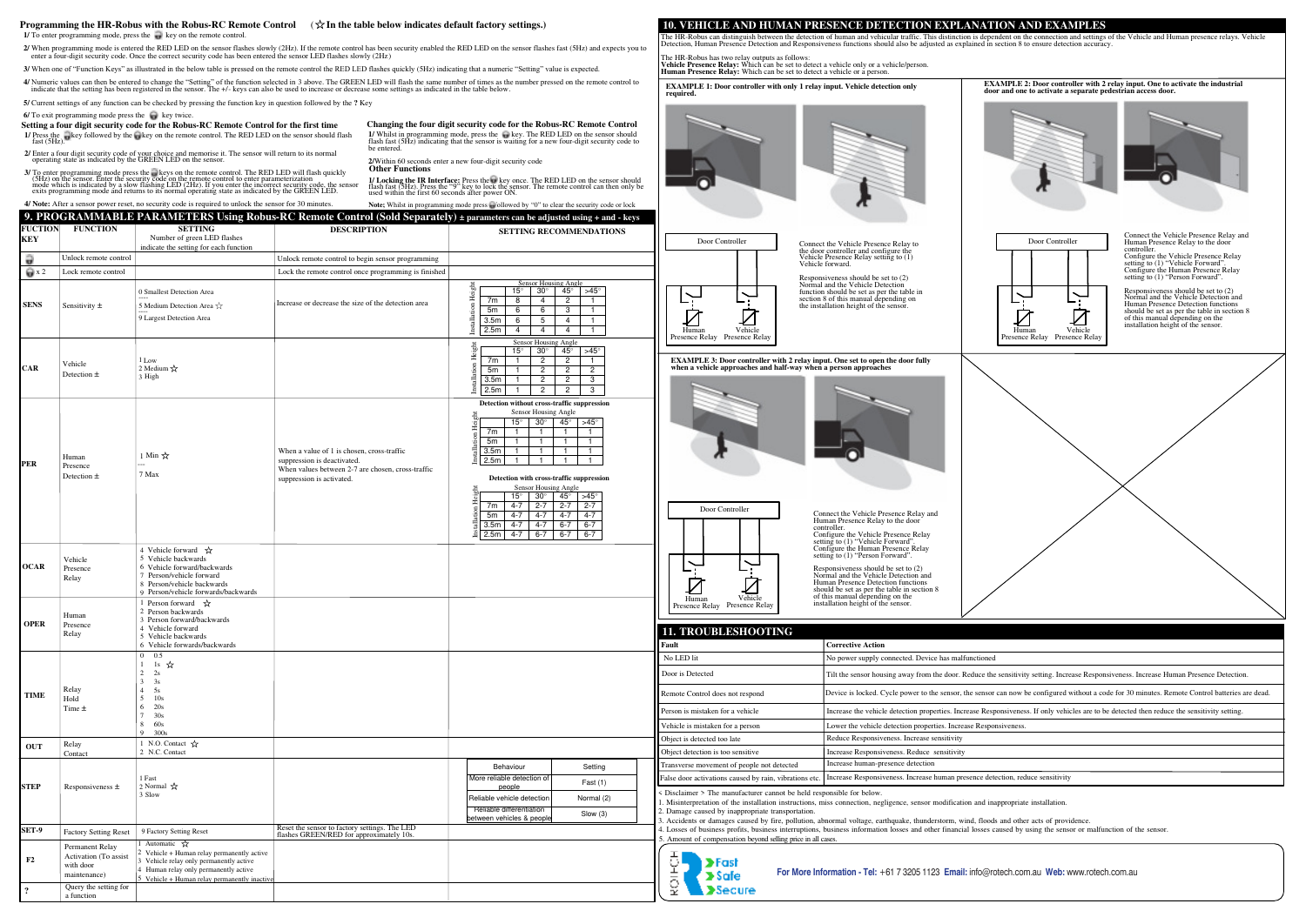Detection, Human Presence Detection and Responsiveness functions should also be adjusted as explained in section 8 to ensure detection accuracy. The HR-Robus has two relay outputs as follows:<br>**Vehicle Presence Relay:** Which can be set to detect a vehicle only or a vehicle/person.<br>**Human Presence Relay:** Which can be set to detect a vehicle or a person.

## **10. VEHICLE AND HUMAN PRESENCE DETECTION EXPLANATION AND EXAMPLES**

The HR-Robus can distinguish between the detection of human and vehicular traffic. This distinction is dependent on the connection and settings of the Vehicle and Human presence relays. Vehicle

**EXAMPLE 2: Door controller with 2 relay input. One to activate the industrial door and induced a separate** 





Connect the Vehicle Presence Relay and Human Presence Relay to the door controller. Configure the Vehicle Presence Relay setting to (1) "Vehicle Forward". Configure the Human Presence Relay etting to (1) "Person Forward".

**EXAMPLE 1: Door controller with only 1 relay input. Vehicle detection only required.**



ect the Vehicle Presence Relay to the door controller and configure the Vehicle Presence Relay setting to (1) le forward

Responsiveness should be set to (2) Normal and the Vehicle Detection function should be set as per the table in section 8 of this manual depending on the installation height of the sensor.



Connect the Vehicle Presence Relay and Human Presence Relay to the door controller. Configure the Vehicle Presence Relay setting to (1) "Vehicle Forward". Configure the Human Presence Relay setting to (1) "Person Forward".

Responsiveness should be set to (2) Normal and the Vehicle Detection and Human Presence Detection functions should be set as per the table in section 8 of this manual depending on the installation height of the sensor.



**EXAMPLE 3: Door controller with 2 relay input. One set to open the door fully when a vehicle approaches and half-way when a person approaches**



Responsiveness should be set to (2) Normal and the Vehicle Detection and Human Presence Detection functions should be set as per the table in section 8 of this manual depending on the installation height of the sensor.

esponsible for below miss connection, negligence, sensor modification and inappropriate installation. abnormal voltage, earthquake, thunderstorm, wind, floods and other acts of providence. is, business information losses and other financial losses caused by using the sensor or malfunction of the sensor. 11 cases. No power supply connected. Device has malfunctioned **Fault Corrective Action** Tilt the sensor housing away from the door. Reduce the sensitivity setting. Increase Responsiveness. Increase Human Presence Detection. Device is locked. Cycle power to the sensor, the sensor can now be configured without a code for 30 minutes. Remote Control batteries are dead. Increase the vehicle detection properties. Increase Responsiveness. If only vehicles are to be detected then reduce the sensitivity setting. Lower the vehicle detection properties. Increase Responsiveness Reduce Responsiveness. Increase sensitivity Increase Responsiveness. Reduce sensitivity Increase human-presence detection Increase Responsiveness. Increase human presence detection, reduce sensitivity

**Setting a four digit security code for the Robus-RC Remote Control for the first time 1/** Press the **k**ey followed by the **k** key on the remote control. The RED LED on the sensor should flash fast (5Hz).

**2/** Enter a four digit security code of your choice and memorise it. The sensor will return to its normal operating state as indicated by the GREEN LED on the sensor.

3/ To enter programming mode press the security code on the remote control. The RED LED will flash quickly (5Hz) on the sensor. Enter the security code on the remote control to enter parameterization (6Hz) on the sindicate

**1/** Whilst in programming mode, press the **Reveluble** Rep. The RED LED on the sensor should flash fast (5Hz) indicating that the sensor is waiting for a new four-digit security code to be entered. **Changing the four digit security code for the Robus-RC Remote Control** 

| <b>FUCTION</b><br>KEY | <b>FUNCTION</b>                                                       | <b>SETTING</b><br>Number of green LED flashes<br>indicate the setting for each function                                                                                                                        | <b>DESCRIPTION</b>                                                                                                                                          | <b>SETTING RECOMMENDATIONS</b>                                                                                                                                                                                                                                                                                                                                                                                                                                                                                                                                                                                                                                                                                                                               | Door Controller<br>Conno<br>the do                                                                                                                                                                                                                                                                                                                                 |
|-----------------------|-----------------------------------------------------------------------|----------------------------------------------------------------------------------------------------------------------------------------------------------------------------------------------------------------|-------------------------------------------------------------------------------------------------------------------------------------------------------------|--------------------------------------------------------------------------------------------------------------------------------------------------------------------------------------------------------------------------------------------------------------------------------------------------------------------------------------------------------------------------------------------------------------------------------------------------------------------------------------------------------------------------------------------------------------------------------------------------------------------------------------------------------------------------------------------------------------------------------------------------------------|--------------------------------------------------------------------------------------------------------------------------------------------------------------------------------------------------------------------------------------------------------------------------------------------------------------------------------------------------------------------|
| a                     | Unlock remote control                                                 |                                                                                                                                                                                                                | Unlock remote control to begin sensor programming                                                                                                           |                                                                                                                                                                                                                                                                                                                                                                                                                                                                                                                                                                                                                                                                                                                                                              | Vehic                                                                                                                                                                                                                                                                                                                                                              |
| $\bigoplus$ x 2       | Lock remote control                                                   |                                                                                                                                                                                                                | Lock the remote control once programming is finished                                                                                                        |                                                                                                                                                                                                                                                                                                                                                                                                                                                                                                                                                                                                                                                                                                                                                              | Vehic                                                                                                                                                                                                                                                                                                                                                              |
| <b>SENS</b>           | Sensitivity $\pm$                                                     | 0 Smallest Detection Area<br>5 Medium Detection Area $\frac{1}{N}$<br>9 Largest Detection Area                                                                                                                 | Increase or decrease the size of the detection area                                                                                                         | <b>Sensor Housing Angle</b><br>Installation Height<br>$15^{\circ}$<br>$30^\circ$<br>$45^{\circ}$<br>$>45^\circ$<br>8<br>$\overline{c}$<br>7m<br>4<br>6<br>3<br>5m<br>6<br>3.5 <sub>m</sub><br>5<br>6<br>4<br>2.5m<br>$\overline{4}$<br>4<br>$\overline{4}$<br>$\mathbf{1}$                                                                                                                                                                                                                                                                                                                                                                                                                                                                                   | Respo<br>Norm<br>functi<br>sectio<br>the in<br>Vehicle<br>Human<br>Presence Relay Presence Relay                                                                                                                                                                                                                                                                   |
| <b>CAR</b>            | Vehicle<br>Detection $\pm$                                            | 1 Low<br>2 Medium $\sqrt{\chi}$<br>3 High                                                                                                                                                                      |                                                                                                                                                             | Sensor Housing Angle<br>Installation Height<br>$15^{\circ}$<br>$30^\circ$<br>$45^\circ$<br>$>45^\circ$<br>$\overline{2}$<br>$\overline{c}$<br>7m<br>$\overline{2}$<br>$\overline{c}$<br>$\overline{c}$<br>5m<br>$\overline{c}$<br>$\overline{c}$<br>3<br>3.5m<br>2.5m<br>$\overline{c}$<br>$\overline{c}$<br>3                                                                                                                                                                                                                                                                                                                                                                                                                                               | <b>EXAMPLE 3: Door controller with 2 relay in</b><br>when a vehicle approaches and half-way whe                                                                                                                                                                                                                                                                    |
| PER                   | Human<br>Presence<br>Detection $\pm$                                  | 1 Min ☆<br>7 Max                                                                                                                                                                                               | When a value of 1 is chosen, cross-traffic<br>suppression is deactivated.<br>When values between 2-7 are chosen, cross-traffic<br>suppression is activated. | Detection without cross-traffic suppression<br>Sensor Housing Angle<br>nstallation Height<br>$30^\circ$<br>$45^\circ$<br>$15^{\circ}$<br>$>45^\circ$<br>7m<br>$\overline{1}$<br>$\mathbf{1}$<br>-1<br>$\overline{1}$<br>5m<br>$\overline{1}$<br>$\mathbf{1}$<br>$\mathbf{1}$<br>$\overline{1}$<br>3.5m<br>$\overline{1}$<br>-1<br>$\mathbf{1}$<br>$\mathbf{1}$<br>2.5m<br>-1<br>Detection with cross-traffic suppression<br>Sensor Housing Angle<br>tallation Height<br>$15^{\circ}$<br>$30^\circ$<br>$45^\circ$<br>$>45^\circ$<br>$2 - 7$<br>$4 - 7$<br>$2 - 7$<br>$2 - 7$<br>7m<br>$4 - 7$<br>$4 - 7$<br>5m<br>$4 - 7$<br>$4 - 7$<br>$6 - 7$<br>3.5 <sub>m</sub><br>$4 - 7$<br>$4 - 7$<br>$6 - 7$<br>E<br>2.5m<br>$4 - 7$<br>$6 - 7$<br>$6 - 7$<br>$6 - 7$ | Door Controller                                                                                                                                                                                                                                                                                                                                                    |
| <b>OCAR</b>           | Vehicle<br>Presence<br>Relay                                          | 4 Vehicle forward $\vec{x}$<br>5 Vehicle backwards<br>6 Vehicle forward/backwards<br>7 Person/vehicle forward<br>8 Person/vehicle backwards<br>9 Person/vehicle forwards/backwards                             |                                                                                                                                                             |                                                                                                                                                                                                                                                                                                                                                                                                                                                                                                                                                                                                                                                                                                                                                              |                                                                                                                                                                                                                                                                                                                                                                    |
| <b>OPER</b>           | Human<br>Presence<br>Relay                                            | 1 Person forward $\vec{x}$<br>2 Person backwards<br>3 Person forward/backwards<br>4 Vehicle forward<br>5 Vehicle backwards<br>6 Vehicle forwards/backwards                                                     |                                                                                                                                                             |                                                                                                                                                                                                                                                                                                                                                                                                                                                                                                                                                                                                                                                                                                                                                              | Human<br>Vehicle<br>Presence Relay Presence Relay<br><b>11. TROUBLESHOOTING</b><br>Fault                                                                                                                                                                                                                                                                           |
| <b>TIME</b>           | Relay<br>Hold<br>Time $\pm$                                           | 0.5<br>$\overline{0}$<br>$1s$ ☆<br>1<br>2<br>2s<br>3<br>3s<br>$\overline{4}$<br>5s<br>5<br>10s<br>6<br>20s<br>30s<br>8<br>60s<br>9<br>300s                                                                     |                                                                                                                                                             |                                                                                                                                                                                                                                                                                                                                                                                                                                                                                                                                                                                                                                                                                                                                                              | No LED lit<br>Door is Detected<br>Remote Control does not respond<br>Person is mistaken for a vehicle<br>Vehicle is mistaken for a person                                                                                                                                                                                                                          |
| OUT                   | Relay                                                                 | 1 N.O. Contact $\sqrt{\chi}$                                                                                                                                                                                   |                                                                                                                                                             |                                                                                                                                                                                                                                                                                                                                                                                                                                                                                                                                                                                                                                                                                                                                                              | Object is detected too late                                                                                                                                                                                                                                                                                                                                        |
| <b>STEP</b>           | Contact<br>Responsiveness $\pm$                                       | 2 N.C. Contact<br>1 Fast<br>2 Normal $\mathbf{\hat{x}}$<br>3 Slow                                                                                                                                              |                                                                                                                                                             | Behaviour<br>Setting<br>More reliable detection of<br>Fast $(1)$<br>people<br>Reliable vehicle detection<br>Normal (2)<br>Reliable differentiation<br>Slow(3)<br>between vehicles & people                                                                                                                                                                                                                                                                                                                                                                                                                                                                                                                                                                   | Object detection is too sensitive<br>Transverse movement of people not detected<br>False door activations caused by rain, vibrations etc<br>< Disclaimer > The manufacturer cannot be held re<br>1. Misinterpretation of the installation instructions,<br>2. Damage caused by inappropriate transportation.<br>3. Accidents or damages caused by fire, pollution, |
| SET-9                 | <b>Factory Setting Reset</b>                                          | 9 Factory Setting Reset                                                                                                                                                                                        | Reset the sensor to factory settings. The LED<br>flashes GREEN/RED for approximately 10s.                                                                   |                                                                                                                                                                                                                                                                                                                                                                                                                                                                                                                                                                                                                                                                                                                                                              | 4. Losses of business profits, business interruptions                                                                                                                                                                                                                                                                                                              |
| F2                    | Permanent Relay<br>Activation (To assist<br>with door<br>maintenance) | Automatic $\mathbf{\hat{x}}$<br>2 Vehicle + Human relay permanently active<br>Vehicle relay only permanently active<br>4 Human relay only permanently active<br>$5$ Vehicle + Human relay permanently inactive |                                                                                                                                                             |                                                                                                                                                                                                                                                                                                                                                                                                                                                                                                                                                                                                                                                                                                                                                              | 5. Amount of compensation beyond selling price in all<br>>Fast<br>For More In<br>>Safe                                                                                                                                                                                                                                                                             |
| $\ddot{\cdot}$        | Query the setting for<br>a function                                   |                                                                                                                                                                                                                |                                                                                                                                                             |                                                                                                                                                                                                                                                                                                                                                                                                                                                                                                                                                                                                                                                                                                                                                              | ş<br><b>&gt;Secure</b>                                                                                                                                                                                                                                                                                                                                             |

**2/** When programming mode is entered the RED LED on the sensor flashes slowly (2Hz). If the remote control has been security enabled the RED LED on the sensor flashes fast (5Hz) and expects you to enter a four-digit security code. Once the correct security code has been entered the sensor LED flashes slowly (2Hz)

**3/** When one of "Function Keys" as illustrated in the below table is pressed on the remote control the RED LED flashes quickly (5Hz) indicating that a numeric "Setting" value is expected.

4/ Numeric values can then be entered to change the "Setting" of the function selected in 3 above. The GREEN LED will flash the same number of times as the number pressed on the remote control to indicate that the setting

**5/** Current settings of any function can be checked by pressing the function key in question followed by the **?** Key

 $6/$  To exit programming mode press the  $\bullet$  key twice.

## ☆ **Programming the HR-Robus with the Robus-RC Remote Control** ( **In the table below indicates default factory settings.)**

**1/** To enter programming mode, press the key on the remote control.

**4/ Note:** After a sensor power reset, no security code is required to unlock the sensor for 30 minutes.

**2/**Within 60 seconds enter a new four-digit security code **Other Functions**

1/ Locking the IR Interface: Press the we key once. The RED LED on the sensor should<br>flash fast (5H2). Press the "9" key to lock the sensor. The remote control can then only be<br>used within the first 60 seconds after power

**9. PROGRAMMARLE PARAMETERS Using Robus-RC Remote Control (Sold Separately) + parameters can be** Note; Whilst in programming mode press **is followed by "0"** to clear the security code or lock

**For More Information - Tel:** +61 7 3205 1123 **Email:** info@rotech.com.au **Web:** www.rotech.com.au